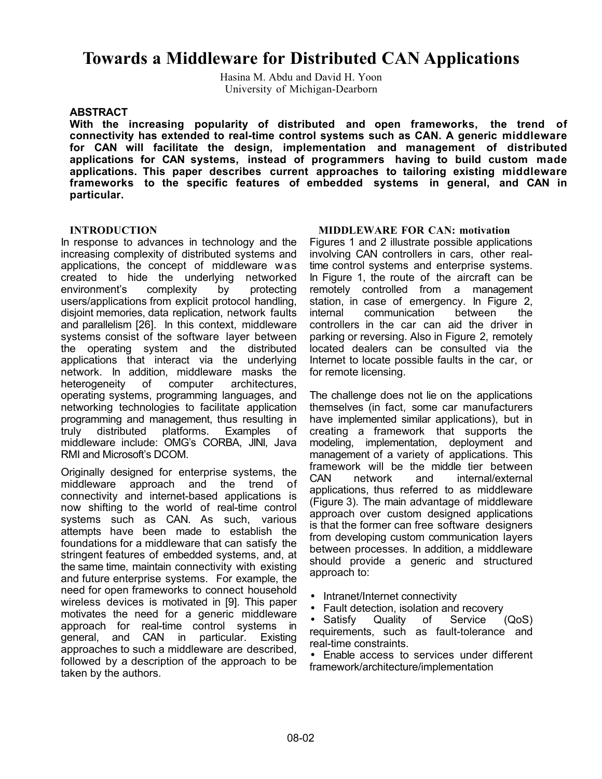# **Towards a Middleware for Distributed CAN Applications**

Hasina M. Abdu and David H. Yoon University of Michigan-Dearborn

#### **ABSTRACT**

**With the increasing popularity of distributed and open frameworks, the trend of connectivity has extended to real-time control systems such as CAN. A generic middleware for CAN will facilitate the design, implementation and management of distributed applications for CAN systems, instead of programmers having to build custom made applications. This paper describes current approaches to tailoring existing middleware frameworks to the specific features of embedded systems in general, and CAN in particular.**

#### **INTRODUCTION**

In response to advances in technology and the increasing complexity of distributed systems and applications, the concept of middleware was created to hide the underlying networked environment's complexity by protecting users/applications from explicit protocol handling, disjoint memories, data replication, network faults and parallelism [26]. In this context, middleware systems consist of the software layer between the operating system and the distributed applications that interact via the underlying network. In addition, middleware masks the heterogeneity of computer architectures, operating systems, programming languages, and networking technologies to facilitate application programming and management, thus resulting in truly distributed platforms. Examples of middleware include: OMG's CORBA, JINI, Java RMI and Microsoft's DCOM.

Originally designed for enterprise systems, the middleware approach and the trend of connectivity and internet-based applications is now shifting to the world of real-time control systems such as CAN. As such, various attempts have been made to establish the foundations for a middleware that can satisfy the stringent features of embedded systems, and, at the same time, maintain connectivity with existing and future enterprise systems. For example, the need for open frameworks to connect household wireless devices is motivated in [9]. This paper motivates the need for a generic middleware approach for real-time control systems in general, and CAN in particular. Existing approaches to such a middleware are described, followed by a description of the approach to be taken by the authors.

#### **MIDDLEWARE FOR CAN: motivation**

Figures 1 and 2 illustrate possible applications involving CAN controllers in cars, other realtime control systems and enterprise systems. In Figure 1, the route of the aircraft can be remotely controlled from a management station, in case of emergency. In Figure 2, internal communication between the controllers in the car can aid the driver in parking or reversing. Also in Figure 2, remotely located dealers can be consulted via the Internet to locate possible faults in the car, or for remote licensing.

The challenge does not lie on the applications themselves (in fact, some car manufacturers have implemented similar applications), but in creating a framework that supports the modeling, implementation, deployment and management of a variety of applications. This framework will be the middle tier between CAN network and internal/external applications, thus referred to as middleware (Figure 3). The main advantage of middleware approach over custom designed applications is that the former can free software designers from developing custom communication layers between processes. In addition, a middleware should provide a generic and structured approach to:

- Intranet/Internet connectivity
- Fault detection, isolation and recovery
- Satisfy Quality of Service (QoS) requirements, such as fault-tolerance and real-time constraints.
- Enable access to services under different framework/architecture/implementation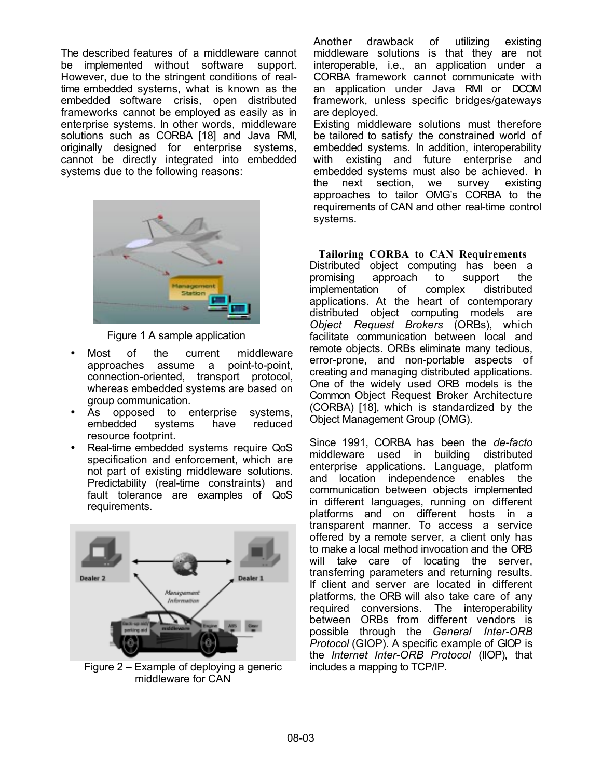The described features of a middleware cannot be implemented without software support. However, due to the stringent conditions of realtime embedded systems, what is known as the embedded software crisis, open distributed frameworks cannot be employed as easily as in enterprise systems. In other words, middleware solutions such as CORBA [18] and Java RMI, originally designed for enterprise systems, cannot be directly integrated into embedded systems due to the following reasons:



Figure 1 A sample application

- Most of the current middleware approaches assume a point-to-point, connection-oriented, transport protocol, whereas embedded systems are based on group communication.
- As opposed to enterprise systems, embedded systems have reduced resource footprint.
- Real-time embedded systems require QoS specification and enforcement, which are not part of existing middleware solutions. Predictability (real-time constraints) and fault tolerance are examples of QoS requirements.



 Figure 2 – Example of deploying a generic middleware for CAN

Another drawback of utilizing existing middleware solutions is that they are not interoperable, i.e., an application under a CORBA framework cannot communicate with an application under Java RMI or DCOM framework, unless specific bridges/gateways are deployed.

Existing middleware solutions must therefore be tailored to satisfy the constrained world of embedded systems. In addition, interoperability with existing and future enterprise and embedded systems must also be achieved. In the next section, we survey existing the next section, we survey existing approaches to tailor OMG's CORBA to the requirements of CAN and other real-time control systems.

**Tailoring CORBA to CAN Requirements** Distributed object computing has been a promising approach to support the implementation of complex distributed applications. At the heart of contemporary distributed object computing models are *Object Request Brokers* (ORBs), which facilitate communication between local and remote objects. ORBs eliminate many tedious, error-prone, and non-portable aspects of creating and managing distributed applications. One of the widely used ORB models is the Common Object Request Broker Architecture (CORBA) [18], which is standardized by the Object Management Group (OMG).

Since 1991, CORBA has been the *de-facto* middleware used in building distributed enterprise applications. Language, platform and location independence enables the communication between objects implemented in different languages, running on different platforms and on different hosts in a transparent manner. To access a service offered by a remote server, a client only has to make a local method invocation and the ORB will take care of locating the server, transferring parameters and returning results. If client and server are located in different platforms, the ORB will also take care of any required conversions. The interoperability between ORBs from different vendors is possible through the *General Inter-ORB Protocol* (GIOP). A specific example of GIOP is the *Internet Inter-ORB Protocol* (IIOP), that includes a mapping to TCP/IP.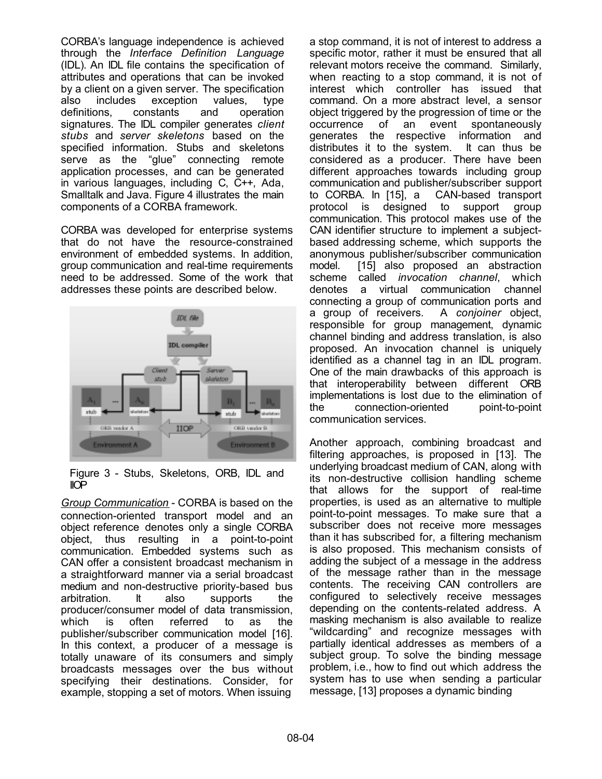CORBA's language independence is achieved through the *Interface Definition Language* (IDL). An IDL file contains the specification of attributes and operations that can be invoked by a client on a given server. The specification also includes exception values, type definitions, constants and operation signatures. The IDL compiler generates *client stubs* and *server skeletons* based on the specified information. Stubs and skeletons serve as the "glue" connecting remote application processes, and can be generated in various languages, including C, C++, Ada, Smalltalk and Java. Figure 4 illustrates the main components of a CORBA framework.

CORBA was developed for enterprise systems that do not have the resource-constrained environment of embedded systems. In addition, group communication and real-time requirements need to be addressed. Some of the work that addresses these points are described below.



Figure 3 - Stubs, Skeletons, ORB, IDL and IIOP

*Group Communication* - CORBA is based on the connection-oriented transport model and an object reference denotes only a single CORBA object, thus resulting in a point-to-point communication. Embedded systems such as CAN offer a consistent broadcast mechanism in a straightforward manner via a serial broadcast medium and non-destructive priority-based bus arbitration. It also supports the producer/consumer model of data transmission, which is often referred to as the publisher/subscriber communication model [16]. In this context, a producer of a message is totally unaware of its consumers and simply broadcasts messages over the bus without specifying their destinations. Consider, for example, stopping a set of motors. When issuing

a stop command, it is not of interest to address a specific motor, rather it must be ensured that all relevant motors receive the command. Similarly, when reacting to a stop command, it is not of interest which controller has issued that command. On a more abstract level, a sensor object triggered by the progression of time or the occurrence of an event spontaneously generates the respective information and distributes it to the system. It can thus be considered as a producer. There have been different approaches towards including group communication and publisher/subscriber support to CORBA. In [15], a CAN-based transport protocol is designed to support group communication. This protocol makes use of the CAN identifier structure to implement a subjectbased addressing scheme, which supports the anonymous publisher/subscriber communication model. [15] also proposed an abstraction scheme called *invocation channel*, which denotes a virtual communication channel connecting a group of communication ports and a group of receivers. A *conjoiner* object, responsible for group management, dynamic channel binding and address translation, is also proposed. An invocation channel is uniquely identified as a channel tag in an IDL program. One of the main drawbacks of this approach is that interoperability between different ORB implementations is lost due to the elimination of the connection-oriented point-to-point communication services.

Another approach, combining broadcast and filtering approaches, is proposed in [13]. The underlying broadcast medium of CAN, along with its non-destructive collision handling scheme that allows for the support of real-time properties, is used as an alternative to multiple point-to-point messages. To make sure that a subscriber does not receive more messages than it has subscribed for, a filtering mechanism is also proposed. This mechanism consists of adding the subject of a message in the address of the message rather than in the message contents. The receiving CAN controllers are configured to selectively receive messages depending on the contents-related address. A masking mechanism is also available to realize "wildcarding" and recognize messages with partially identical addresses as members of a subject group. To solve the binding message problem, i.e., how to find out which address the system has to use when sending a particular message, [13] proposes a dynamic binding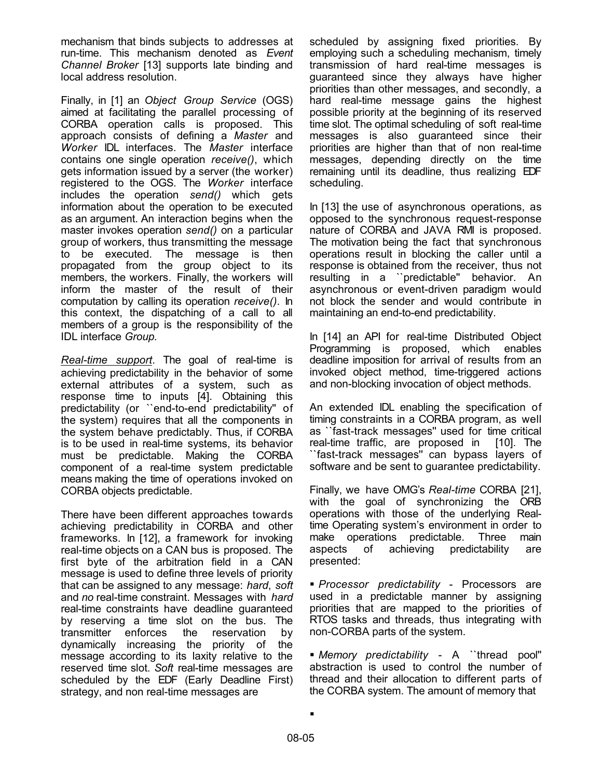mechanism that binds subjects to addresses at run-time. This mechanism denoted as *Event Channel Broker* [13] supports late binding and local address resolution.

Finally, in [1] an *Object Group Service* (OGS) aimed at facilitating the parallel processing of CORBA operation calls is proposed. This approach consists of defining a *Master* and *Worker* IDL interfaces. The *Master* interface contains one single operation *receive()*, which gets information issued by a server (the worker) registered to the OGS. The *Worker* interface includes the operation *send()* which gets information about the operation to be executed as an argument. An interaction begins when the master invokes operation *send()* on a particular group of workers, thus transmitting the message to be executed. The message is then propagated from the group object to its members, the workers. Finally, the workers will inform the master of the result of their computation by calling its operation *receive()*. In this context, the dispatching of a call to all members of a group is the responsibility of the IDL interface *Group.*

*Real-time support*. The goal of real-time is achieving predictability in the behavior of some external attributes of a system, such as response time to inputs [4]. Obtaining this predictability (or ``end-to-end predictability'' of the system) requires that all the components in the system behave predictably. Thus, if CORBA is to be used in real-time systems, its behavior must be predictable. Making the CORBA component of a real-time system predictable means making the time of operations invoked on CORBA objects predictable.

There have been different approaches towards achieving predictability in CORBA and other frameworks. In [12], a framework for invoking real-time objects on a CAN bus is proposed. The first byte of the arbitration field in a CAN message is used to define three levels of priority that can be assigned to any message: *hard*, *soft* and *no* real-time constraint. Messages with *hard* real-time constraints have deadline guaranteed by reserving a time slot on the bus. The transmitter enforces the reservation by dynamically increasing the priority of the message according to its laxity relative to the reserved time slot. *Soft* real-time messages are scheduled by the EDF (Early Deadline First) strategy, and non real-time messages are

scheduled by assigning fixed priorities. By employing such a scheduling mechanism, timely transmission of hard real-time messages is guaranteed since they always have higher priorities than other messages, and secondly, a hard real-time message gains the highest possible priority at the beginning of its reserved time slot. The optimal scheduling of soft real-time messages is also guaranteed since their priorities are higher than that of non real-time messages, depending directly on the time remaining until its deadline, thus realizing EDF scheduling.

In [13] the use of asynchronous operations, as opposed to the synchronous request-response nature of CORBA and JAVA RMI is proposed. The motivation being the fact that synchronous operations result in blocking the caller until a response is obtained from the receiver, thus not resulting in a ``predictable'' behavior. An asynchronous or event-driven paradigm would not block the sender and would contribute in maintaining an end-to-end predictability.

In [14] an API for real-time Distributed Object Programming is proposed, which enables deadline imposition for arrival of results from an invoked object method, time-triggered actions and non-blocking invocation of object methods.

An extended IDL enabling the specification of timing constraints in a CORBA program, as well as ``fast-track messages'' used for time critical real-time traffic, are proposed in [10]. The ``fast-track messages'' can bypass layers of software and be sent to guarantee predictability.

Finally, we have OMG's *Real-time* CORBA [21], with the goal of synchronizing the ORB operations with those of the underlying Realtime Operating system's environment in order to make operations predictable. Three main aspects of achieving predictability are presented:

ß *Processor predictability* - Processors are used in a predictable manner by assigning priorities that are mapped to the priorities of RTOS tasks and threads, thus integrating with non-CORBA parts of the system.

ß *Memory predictability* - A ``thread pool'' abstraction is used to control the number of thread and their allocation to different parts of the CORBA system. The amount of memory that

ß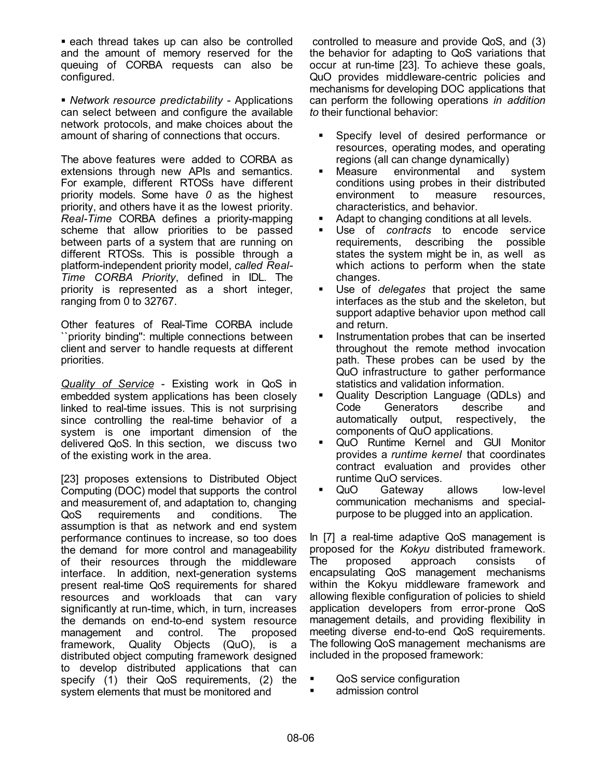ß each thread takes up can also be controlled and the amount of memory reserved for the queuing of CORBA requests can also be configured.

ß *Network resource predictability* - Applications can select between and configure the available network protocols, and make choices about the amount of sharing of connections that occurs.

The above features were added to CORBA as extensions through new APIs and semantics. For example, different RTOSs have different priority models. Some have *0* as the highest priority, and others have it as the lowest priority. *Real-Time* CORBA defines a priority-mapping scheme that allow priorities to be passed between parts of a system that are running on different RTOSs. This is possible through a platform-independent priority model, *called Real-Time CORBA Priority*, defined in IDL. The priority is represented as a short integer, ranging from 0 to 32767.

Other features of Real-Time CORBA include ``priority binding'': multiple connections between client and server to handle requests at different priorities.

*Quality of Service* - Existing work in QoS in embedded system applications has been closely linked to real-time issues. This is not surprising since controlling the real-time behavior of a system is one important dimension of the delivered QoS. In this section, we discuss two of the existing work in the area.

[23] proposes extensions to Distributed Object Computing (DOC) model that supports the control and measurement of, and adaptation to, changing QoS requirements and conditions. The assumption is that as network and end system performance continues to increase, so too does the demand for more control and manageability of their resources through the middleware interface. In addition, next-generation systems present real-time QoS requirements for shared resources and workloads that can vary significantly at run-time, which, in turn, increases the demands on end-to-end system resource management and control. The proposed framework, Quality Objects (QuO), is a distributed object computing framework designed to develop distributed applications that can specify (1) their QoS requirements, (2) the system elements that must be monitored and

 controlled to measure and provide QoS, and (3) the behavior for adapting to QoS variations that occur at run-time [23]. To achieve these goals, QuO provides middleware-centric policies and mechanisms for developing DOC applications that can perform the following operations *in addition to* their functional behavior:

- ß Specify level of desired performance or resources, operating modes, and operating regions (all can change dynamically)
- **B** Measure environmental and system conditions using probes in their distributed environment to measure resources, characteristics, and behavior.
- ß Adapt to changing conditions at all levels.
- ß Use of *contracts* to encode service requirements, describing the possible states the system might be in, as well as which actions to perform when the state changes.
- ß Use of *delegates* that project the same interfaces as the stub and the skeleton, but support adaptive behavior upon method call and return.
- **Instrumentation probes that can be inserted** throughout the remote method invocation path. These probes can be used by the QuO infrastructure to gather performance statistics and validation information.
- ß Quality Description Language (QDLs) and Code Generators describe and automatically output, respectively, the components of QuO applications.
- ß QuO Runtime Kernel and GUI Monitor provides a *runtime kernel* that coordinates contract evaluation and provides other runtime QuO services.
- **•** QuO Gateway allows low-level communication mechanisms and specialpurpose to be plugged into an application.

In [7] a real-time adaptive QoS management is proposed for the *Kokyu* distributed framework. The proposed approach consists of encapsulating QoS management mechanisms within the Kokyu middleware framework and allowing flexible configuration of policies to shield application developers from error-prone QoS management details, and providing flexibility in meeting diverse end-to-end QoS requirements. The following QoS management mechanisms are included in the proposed framework:

- ß QoS service configuration
- ß admission control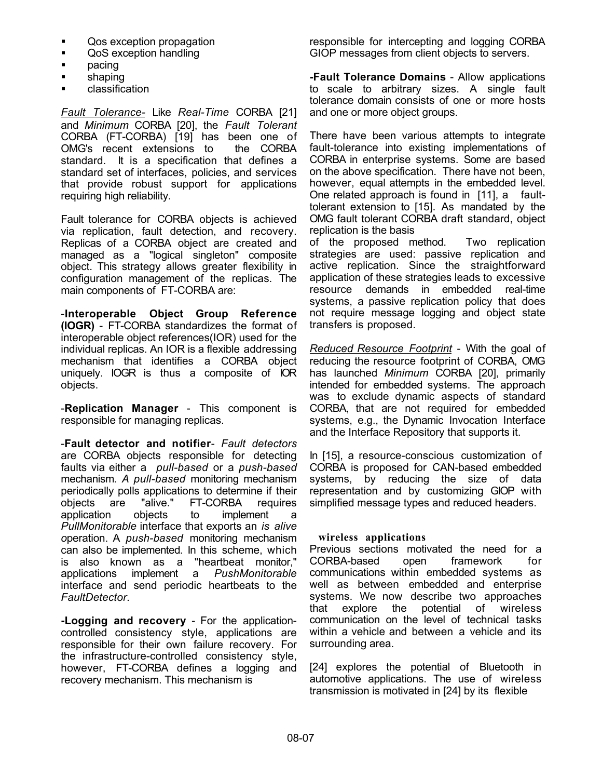- ß Qos exception propagation
- ß QoS exception handling
- pacing
- shaping
- ß classification

*Fault Tolerance-* Like *Real-Time* CORBA [21] and *Minimum* CORBA [20], the *Fault Tolerant* CORBA (FT-CORBA) [19] has been one of OMG's recent extensions to the CORBA standard. It is a specification that defines a standard set of interfaces, policies, and services that provide robust support for applications requiring high reliability.

Fault tolerance for CORBA objects is achieved via replication, fault detection, and recovery. Replicas of a CORBA object are created and managed as a "logical singleton" composite object. This strategy allows greater flexibility in configuration management of the replicas. The main components of FT-CORBA are:

-**Interoperable Object Group Reference (IOGR)** - FT-CORBA standardizes the format of interoperable object references(IOR) used for the individual replicas. An IOR is a flexible addressing mechanism that identifies a CORBA object uniquely. IOGR is thus a composite of IOR objects.

-**Replication Manager** - This component is responsible for managing replicas.

-**Fault detector and notifier**- *Fault detectors* are CORBA objects responsible for detecting faults via either a *pull-based* or a *push-based* mechanism. *A pull-based* monitoring mechanism periodically polls applications to determine if their<br>objects are "alive." FT-CORBA requires objects are "alive." FT-CORBA requires application objects to implement a *PullMonitorable* interface that exports an *is alive o*peration. A *push-based* monitoring mechanism can also be implemented. In this scheme, which is also known as a "heartbeat monitor," applications implement a *PushMonitorable* interface and send periodic heartbeats to the *FaultDetector*.

**-Logging and recovery** - For the applicationcontrolled consistency style, applications are responsible for their own failure recovery. For the infrastructure-controlled consistency style, however, FT-CORBA defines a logging and recovery mechanism. This mechanism is

responsible for intercepting and logging CORBA GIOP messages from client objects to servers.

**-Fault Tolerance Domains** - Allow applications to scale to arbitrary sizes. A single fault tolerance domain consists of one or more hosts and one or more object groups.

There have been various attempts to integrate fault-tolerance into existing implementations of CORBA in enterprise systems. Some are based on the above specification. There have not been, however, equal attempts in the embedded level. One related approach is found in [11], a faulttolerant extension to [15]. As mandated by the OMG fault tolerant CORBA draft standard, object replication is the basis

of the proposed method. Two replication strategies are used: passive replication and active replication. Since the straightforward application of these strategies leads to excessive resource demands in embedded real-time systems, a passive replication policy that does not require message logging and object state transfers is proposed.

*Reduced Resource Footprint* - With the goal of reducing the resource footprint of CORBA, OMG has launched *Minimum* CORBA [20], primarily intended for embedded systems. The approach was to exclude dynamic aspects of standard CORBA, that are not required for embedded systems, e.g., the Dynamic Invocation Interface and the Interface Repository that supports it.

In [15], a resource-conscious customization of CORBA is proposed for CAN-based embedded systems, by reducing the size of data representation and by customizing GIOP with simplified message types and reduced headers.

## **wireless applications**

Previous sections motivated the need for a CORBA-based open framework for communications within embedded systems as well as between embedded and enterprise systems. We now describe two approaches that explore the potential of wireless communication on the level of technical tasks within a vehicle and between a vehicle and its surrounding area.

[24] explores the potential of Bluetooth in automotive applications. The use of wireless transmission is motivated in [24] by its flexible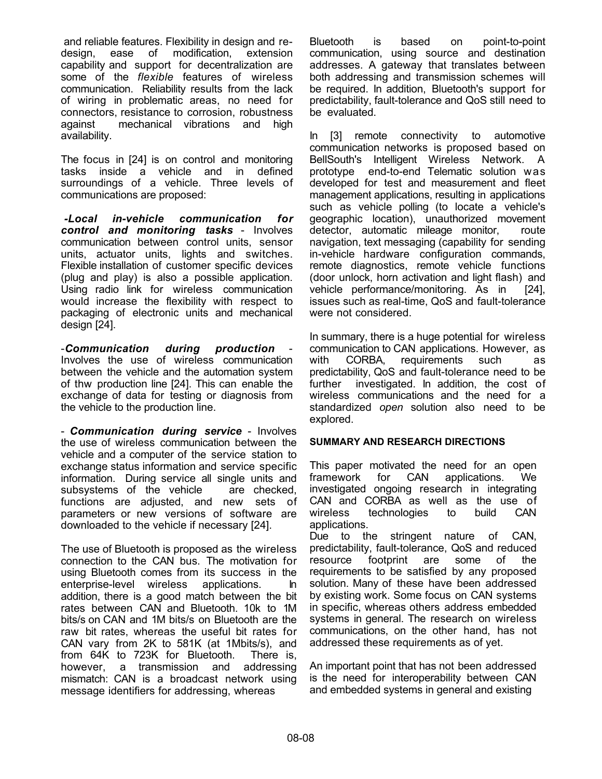and reliable features. Flexibility in design and reease of modification, capability and support for decentralization are some of the *flexible* features of wireless communication. Reliability results from the lack of wiring in problematic areas, no need for connectors, resistance to corrosion, robustness against mechanical vibrations and high availability.

The focus in [24] is on control and monitoring tasks inside a vehicle and in defined surroundings of a vehicle. Three levels of communications are proposed:

*-Local in-vehicle communication for control and monitoring tasks* - Involves communication between control units, sensor units, actuator units, lights and switches. Flexible installation of customer specific devices (plug and play) is also a possible application. Using radio link for wireless communication would increase the flexibility with respect to packaging of electronic units and mechanical design [24].

-*Communication during production* - Involves the use of wireless communication between the vehicle and the automation system of thw production line [24]. This can enable the exchange of data for testing or diagnosis from the vehicle to the production line.

- *Communication during service* - Involves the use of wireless communication between the vehicle and a computer of the service station to exchange status information and service specific information. During service all single units and subsystems of the vehicle are checked, functions are adjusted, and new sets of parameters or new versions of software are downloaded to the vehicle if necessary [24].

The use of Bluetooth is proposed as the wireless connection to the CAN bus. The motivation for using Bluetooth comes from its success in the enterprise-level wireless applications. In addition, there is a good match between the bit rates between CAN and Bluetooth. 10k to 1M bits/s on CAN and 1M bits/s on Bluetooth are the raw bit rates, whereas the useful bit rates for CAN vary from 2K to 581K (at 1Mbits/s), and from 64K to 723K for Bluetooth. There is, however, a transmission and addressing mismatch: CAN is a broadcast network using message identifiers for addressing, whereas

Bluetooth is based on point-to-point communication, using source and destination addresses. A gateway that translates between both addressing and transmission schemes will be required. In addition, Bluetooth's support for predictability, fault-tolerance and QoS still need to be evaluated.

In [3] remote connectivity to automotive communication networks is proposed based on BellSouth's Intelligent Wireless Network. A prototype end-to-end Telematic solution was developed for test and measurement and fleet management applications, resulting in applications such as vehicle polling (to locate a vehicle's geographic location), unauthorized movement detector, automatic mileage monitor, route navigation, text messaging (capability for sending in-vehicle hardware configuration commands, remote diagnostics, remote vehicle functions (door unlock, horn activation and light flash) and vehicle performance/monitoring. As in [24], issues such as real-time, QoS and fault-tolerance were not considered.

In summary, there is a huge potential for wireless communication to CAN applications. However, as with CORBA, requirements such as predictability, QoS and fault-tolerance need to be further investigated. In addition, the cost of wireless communications and the need for a standardized *open* solution also need to be explored.

## **SUMMARY AND RESEARCH DIRECTIONS**

This paper motivated the need for an open framework for CAN applications. We investigated ongoing research in integrating CAN and CORBA as well as the use of wireless technologies to build CAN applications.

Due to the stringent nature of CAN, predictability, fault-tolerance, QoS and reduced<br>resource footprint are some of the resource footprint are some of the requirements to be satisfied by any proposed solution. Many of these have been addressed by existing work. Some focus on CAN systems in specific, whereas others address embedded systems in general. The research on wireless communications, on the other hand, has not addressed these requirements as of yet.

An important point that has not been addressed is the need for interoperability between CAN and embedded systems in general and existing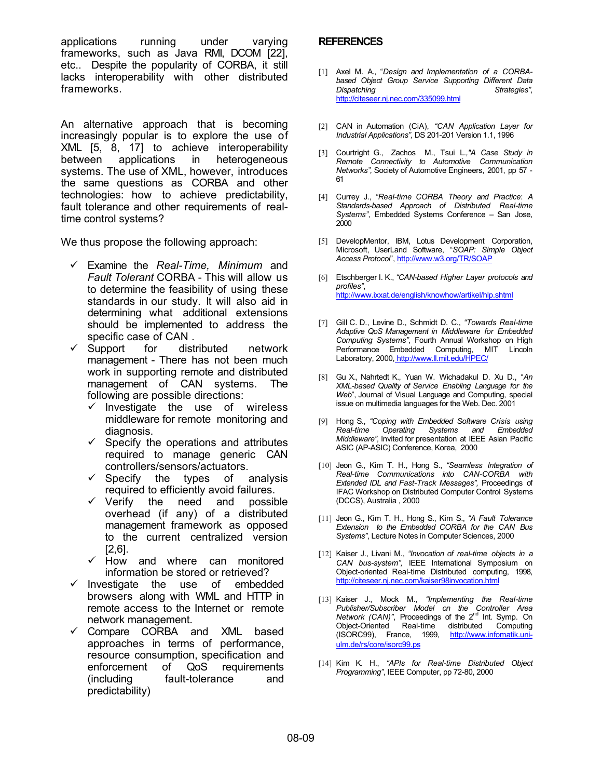applications running under varying frameworks, such as Java RMI, DCOM [22], etc.. Despite the popularity of CORBA, it still lacks interoperability with other distributed frameworks.

An alternative approach that is becoming increasingly popular is to explore the use of XML [5, 8, 17] to achieve interoperability between applications in heterogeneous systems. The use of XML, however, introduces the same questions as CORBA and other technologies: how to achieve predictability, fault tolerance and other requirements of realtime control systems?

We thus propose the following approach:

- ¸ Examine the *Real-Time, Minimum* and *Fault Tolerant* CORBA - This will allow us to determine the feasibility of using these standards in our study. It will also aid in determining what additional extensions should be implemented to address the specific case of CAN .
- $\checkmark$  Support for distributed network management - There has not been much work in supporting remote and distributed management of CAN systems. The following are possible directions:
	- $\checkmark$  Investigate the use of wireless middleware for remote monitoring and diagnosis.
	- $\checkmark$  Specify the operations and attributes required to manage generic CAN controllers/sensors/actuators.<br>Specify the types of
	- $\checkmark$  Specify the types of analysis required to efficiently avoid failures.
	- $\checkmark$  Verify the need and possible overhead (if any) of a distributed management framework as opposed to the current centralized version [2,6].
	- $\checkmark$  How and where can monitored information be stored or retrieved?
- $\checkmark$  Investigate the use of embedded browsers along with WML and HTTP in remote access to the Internet or remote network management.
- $\checkmark$  Compare CORBA and XML based approaches in terms of performance, resource consumption, specification and enforcement of QoS requirements (including fault-tolerance and predictability)

# **REFERENCES**

- [1] Axel M. A., "Design and Implementation of a CORBA*based Object Group Service Supporting Different Data Dispatching* **Strategies**", http://citeseer.nj.nec.com/335099.html
- [2] CAN in Automation (CiA), *"CAN Application Layer for Industrial Applications",* DS 201-201 Version 1.1, 1996
- [3] Courtright G., Zachos M., Tsui L*.,"A Case Study in Remote Connectivity to Automotive Communication Networks",* Society of Automotive Engineers, 2001, pp 57 - 61
- [4] Currey J., *"Real-time CORBA Theory and Practice*: *A Standards-based Approach of Distributed Real-time Systems"*, Embedded Systems Conference – San Jose, 2000
- [5] DevelopMentor, IBM, Lotus Development Corporation, Microsoft, UserLand Software, "*SOAP: Simple Object Access Protocol*", http://www.w3.org/TR/SOAP
- [6] Etschberger I. K., *"CAN-based Higher Layer protocols and profiles"*, http://www.ixxat.de/english/knowhow/artikel/hlp.shtml
- [7] Gill C. D., Levine D., Schmidt D. C., *"Towards Real-time Adaptive QoS Management in Middleware for Embedded Computing Systems"*, Fourth Annual Workshop on High Performance Embedded Computing, MIT Lincoln Laboratory, 2000<u>, http://www.ll.mit.edu/HPEC/</u>
- [8] Gu X., Nahrtedt K., Yuan W. Wichadakul D. Xu D., "*An XML-based Quality of Service Enabling Language for the Web*", Journal of Visual Language and Computing, special issue on multimedia languages for the Web. Dec. 2001
- [9] Hong S., *"Coping with Embedded Software Crisis using Real-time Operating Systems and Embedded Middleware",* Invited for presentation at IEEE Asian Pacific ASIC (AP-ASIC) Conference, Korea, 2000
- [10] Jeon G., Kim T. H., Hong S., *"Seamless Integration of Real-time Communications into CAN-CORBA with Extended IDL and Fast-Track Messages",* Proceedings of IFAC Workshop on Distributed Computer Control Systems (DCCS), Australia , 2000
- [11] Jeon G., Kim T. H., Hong S., Kim S., *"A Fault Tolerance Extension to the Embedded CORBA for the CAN Bus Systems"*, Lecture Notes in Computer Sciences, 2000
- [12] Kaiser J., Livani M., *"Invocation of real-time objects in a CAN bus-system",* IEEE International Symposium on Object-oriented Real-time Distributed computing, 1998, http://citeseer.nj.nec.com/kaiser98invocation.html
- [13] Kaiser J., Mock M., *"Implementing the Real-time Publisher/Subscriber Model on the Controller Area Network (CAN)"*, Proceedings of the 2<sup>nd</sup> Int. Symp. On<br>Object-Oriented Real-time distributed Computing Object-Oriented Real-time distributed (ISORC99), France, 1999, http://www.infomatik.uniulm.de/rs/core/isorc99.ps
- [14] Kim K. H., *"APIs for Real-time Distributed Object Programming"*, IEEE Computer, pp 72-80, 2000